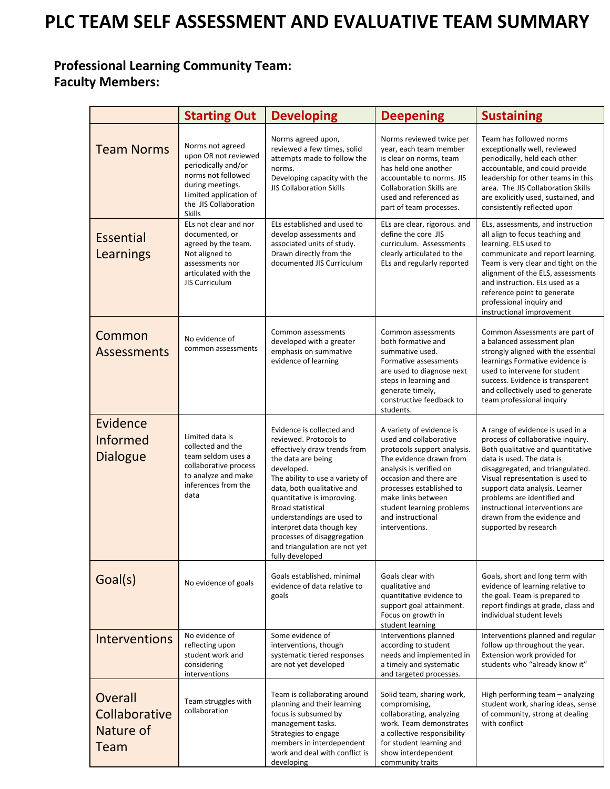## **PLC TEAM SELF ASSESSMENT AND EVALUATIVE TEAM SUMMARY**

## **Professional Learning Community Team: Faculty Members:**

|                                                | <b>Starting Out</b>                                                                                                                                                           | <b>Developing</b>                                                                                                                                                                                                                                                                                                                                                                                | <b>Deepening</b>                                                                                                                                                                                                                                                                        | <b>Sustaining</b>                                                                                                                                                                                                                                                                                                                                                           |
|------------------------------------------------|-------------------------------------------------------------------------------------------------------------------------------------------------------------------------------|--------------------------------------------------------------------------------------------------------------------------------------------------------------------------------------------------------------------------------------------------------------------------------------------------------------------------------------------------------------------------------------------------|-----------------------------------------------------------------------------------------------------------------------------------------------------------------------------------------------------------------------------------------------------------------------------------------|-----------------------------------------------------------------------------------------------------------------------------------------------------------------------------------------------------------------------------------------------------------------------------------------------------------------------------------------------------------------------------|
| <b>Team Norms</b>                              | Norms not agreed<br>upon OR not reviewed<br>periodically and/or<br>norms not followed<br>during meetings.<br>Limited application of<br>the JIS Collaboration<br><b>Skills</b> | Norms agreed upon,<br>reviewed a few times, solid<br>attempts made to follow the<br>norms.<br>Developing capacity with the<br><b>JIS Collaboration Skills</b>                                                                                                                                                                                                                                    | Norms reviewed twice per<br>year, each team member<br>is clear on norms, team<br>has held one another<br>accountable to norms. JIS<br><b>Collaboration Skills are</b><br>used and referenced as<br>part of team processes.                                                              | Team has followed norms<br>exceptionally well, reviewed<br>periodically, held each other<br>accountable, and could provide<br>leadership for other teams in this<br>area. The JIS Collaboration Skills<br>are explicitly used, sustained, and<br>consistently reflected upon                                                                                                |
| <b>Essential</b><br>Learnings                  | ELs not clear and nor<br>documented, or<br>agreed by the team.<br>Not aligned to<br>assessments nor<br>articulated with the<br><b>JIS Curriculum</b>                          | ELs established and used to<br>develop assessments and<br>associated units of study.<br>Drawn directly from the<br>documented JIS Curriculum                                                                                                                                                                                                                                                     | ELs are clear, rigorous. and<br>define the core JIS<br>curriculum. Assessments<br>clearly articulated to the<br>ELs and regularly reported                                                                                                                                              | ELs, assessments, and instruction<br>all align to focus teaching and<br>learning. ELS used to<br>communicate and report learning.<br>Team is very clear and tight on the<br>alignment of the ELS, assessments<br>and instruction. ELs used as a<br>reference point to generate<br>professional inquiry and<br>instructional improvement                                     |
| Common<br><b>Assessments</b>                   | No evidence of<br>common assessments                                                                                                                                          | Common assessments<br>developed with a greater<br>emphasis on summative<br>evidence of learning                                                                                                                                                                                                                                                                                                  | Common assessments<br>both formative and<br>summative used.<br>Formative assessments<br>are used to diagnose next<br>steps in learning and<br>generate timely,<br>constructive feedback to<br>students.                                                                                 | Common Assessments are part of<br>a balanced assessment plan<br>strongly aligned with the essential<br>learnings Formative evidence is<br>used to intervene for student<br>success. Evidence is transparent<br>and collectively used to generate<br>team professional inquiry                                                                                               |
| Evidence<br><b>Informed</b><br><b>Dialogue</b> | Limited data is<br>collected and the<br>team seldom uses a<br>collaborative process<br>to analyze and make<br>inferences from the<br>data                                     | Evidence is collected and<br>reviewed. Protocols to<br>effectively draw trends from<br>the data are being<br>developed.<br>The ability to use a variety of<br>data, both qualitative and<br>quantitative is improving.<br><b>Broad statistical</b><br>understandings are used to<br>interpret data though key<br>processes of disaggregation<br>and triangulation are not yet<br>fully developed | A variety of evidence is<br>used and collaborative<br>protocols support analysis.<br>The evidence drawn from<br>analysis is verified on<br>occasion and there are<br>processes established to<br>make links between<br>student learning problems<br>and instructional<br>interventions. | A range of evidence is used in a<br>process of collaborative inquiry.<br>Both qualitative and quantitative<br>data is used. The data is<br>disaggregated, and triangulated.<br>Visual representation is used to<br>support data analysis. Learner<br>problems are identified and<br>instructional interventions are<br>drawn from the evidence and<br>supported by research |
| Goal(s)                                        | No evidence of goals                                                                                                                                                          | Goals established, minimal<br>evidence of data relative to<br>goals                                                                                                                                                                                                                                                                                                                              | Goals clear with<br>qualitative and<br>quantitative evidence to<br>support goal attainment.<br>Focus on growth in<br>student learning                                                                                                                                                   | Goals, short and long term with<br>evidence of learning relative to<br>the goal. Team is prepared to<br>report findings at grade, class and<br>individual student levels                                                                                                                                                                                                    |
| <b>Interventions</b>                           | No evidence of<br>reflecting upon<br>student work and<br>considering<br>interventions                                                                                         | Some evidence of<br>interventions, though<br>systematic tiered responses<br>are not yet developed                                                                                                                                                                                                                                                                                                | Interventions planned<br>according to student<br>needs and implemented in<br>a timely and systematic<br>and targeted processes.                                                                                                                                                         | Interventions planned and regular<br>follow up throughout the year.<br>Extension work provided for<br>students who "already know it"                                                                                                                                                                                                                                        |
| Overall<br>Collaborative<br>Nature of<br>Team  | Team struggles with<br>collaboration                                                                                                                                          | Team is collaborating around<br>planning and their learning<br>focus is subsumed by<br>management tasks.<br>Strategies to engage<br>members in interdependent<br>work and deal with conflict is<br>developing                                                                                                                                                                                    | Solid team, sharing work,<br>compromising,<br>collaborating, analyzing<br>work. Team demonstrates<br>a collective responsibility<br>for student learning and<br>show interdependent<br>community traits                                                                                 | High performing team - analyzing<br>student work, sharing ideas, sense<br>of community, strong at dealing<br>with conflict                                                                                                                                                                                                                                                  |